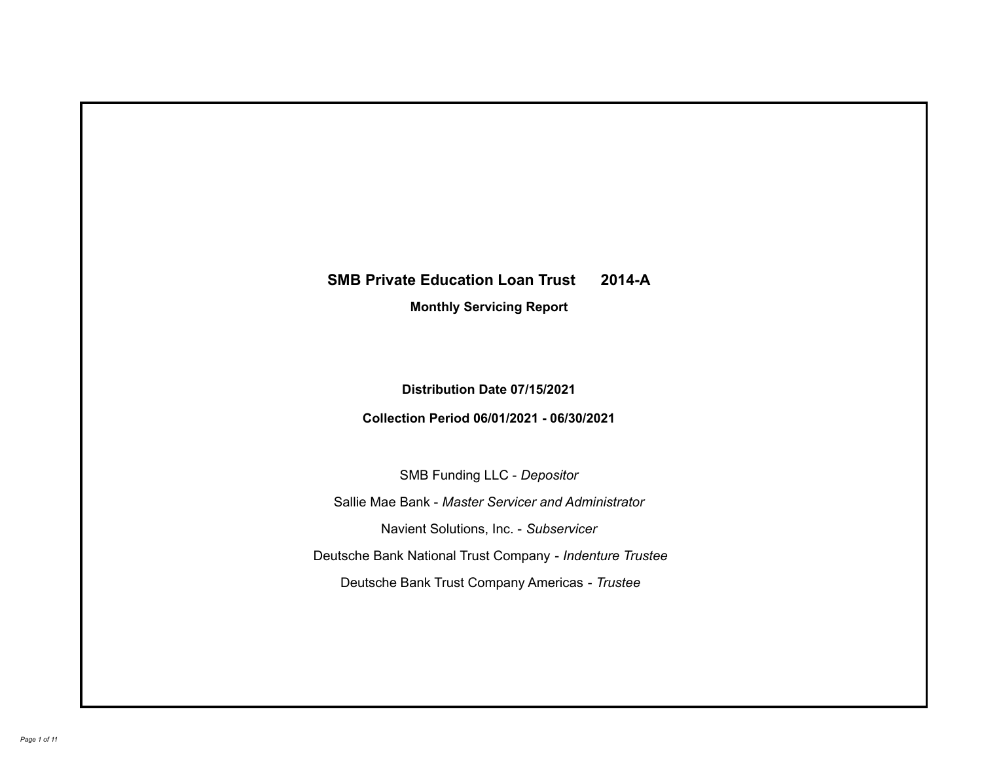## **SMB Private Education Loan Trust 2014-A**

**Monthly Servicing Report**

**Distribution Date 07/15/2021**

**Collection Period 06/01/2021 - 06/30/2021**

SMB Funding LLC - *Depositor*

Sallie Mae Bank - *Master Servicer and Administrator*

Navient Solutions, Inc. - *Subservicer*

Deutsche Bank National Trust Company - *Indenture Trustee*

Deutsche Bank Trust Company Americas - *Trustee*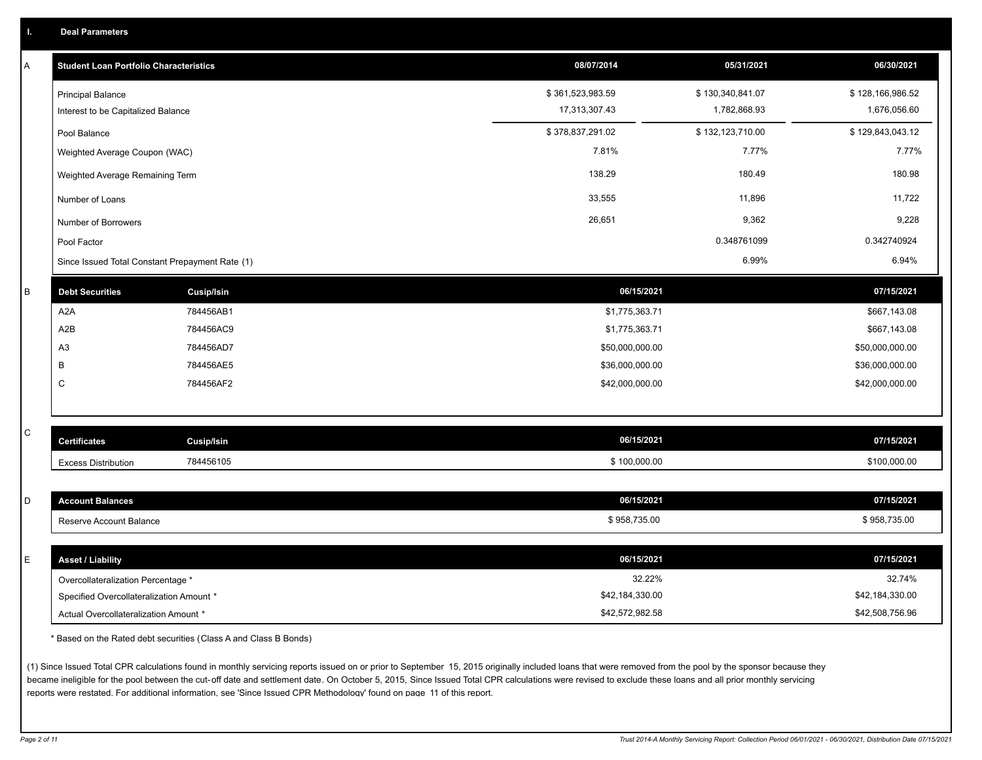| A           | <b>Student Loan Portfolio Characteristics</b>   |                   | 08/07/2014       | 05/31/2021       | 06/30/2021       |
|-------------|-------------------------------------------------|-------------------|------------------|------------------|------------------|
|             | <b>Principal Balance</b>                        |                   | \$361,523,983.59 | \$130,340,841.07 | \$128,166,986.52 |
|             | Interest to be Capitalized Balance              |                   | 17,313,307.43    | 1,782,868.93     | 1,676,056.60     |
|             | Pool Balance                                    |                   | \$378,837,291.02 | \$132,123,710.00 | \$129,843,043.12 |
|             | Weighted Average Coupon (WAC)                   |                   | 7.81%            | 7.77%            | 7.77%            |
|             | Weighted Average Remaining Term                 |                   | 138.29           | 180.49           | 180.98           |
|             | Number of Loans                                 |                   | 33,555           | 11,896           | 11,722           |
|             | Number of Borrowers                             |                   | 26,651           | 9,362            | 9,228            |
|             | Pool Factor                                     |                   |                  | 0.348761099      | 0.342740924      |
|             | Since Issued Total Constant Prepayment Rate (1) |                   |                  | 6.99%            | 6.94%            |
| B           | <b>Debt Securities</b>                          | <b>Cusip/Isin</b> | 06/15/2021       |                  | 07/15/2021       |
|             | A <sub>2</sub> A                                | 784456AB1         | \$1,775,363.71   |                  | \$667,143.08     |
|             | A2B                                             | 784456AC9         | \$1,775,363.71   |                  | \$667,143.08     |
|             | A <sub>3</sub>                                  | 784456AD7         | \$50,000,000.00  |                  | \$50,000,000.00  |
|             | B                                               | 784456AE5         | \$36,000,000.00  |                  | \$36,000,000.00  |
|             | $\mathsf{C}$                                    | 784456AF2         | \$42,000,000.00  |                  | \$42,000,000.00  |
|             |                                                 |                   |                  |                  |                  |
| $\mathbf C$ |                                                 |                   |                  |                  |                  |
|             | <b>Certificates</b>                             | Cusip/Isin        | 06/15/2021       |                  | 07/15/2021       |
|             | <b>Excess Distribution</b>                      | 784456105         | \$100,000.00     |                  | \$100,000.00     |
|             |                                                 |                   |                  |                  |                  |
| D           | <b>Account Balances</b>                         |                   | 06/15/2021       |                  | 07/15/2021       |
|             | Reserve Account Balance                         |                   | \$958,735.00     |                  | \$958,735.00     |
|             |                                                 |                   |                  |                  |                  |
| E           | <b>Asset / Liability</b>                        |                   | 06/15/2021       |                  | 07/15/2021       |
|             | Overcollateralization Percentage *              |                   | 32.22%           |                  | 32.74%           |
|             | Specified Overcollateralization Amount *        |                   | \$42,184,330.00  |                  | \$42,184,330.00  |
|             | Actual Overcollateralization Amount *           |                   | \$42,572,982.58  |                  | \$42,508,756.96  |

\* Based on the Rated debt securities (Class A and Class B Bonds)

(1) Since Issued Total CPR calculations found in monthly servicing reports issued on or prior to September 15, 2015 originally included loans that were removed from the pool by the sponsor because they became ineligible for the pool between the cut-off date and settlement date. On October 5, 2015, Since Issued Total CPR calculations were revised to exclude these loans and all prior monthly servicing reports were restated. For additional information, see 'Since Issued CPR Methodology' found on page 11 of this report.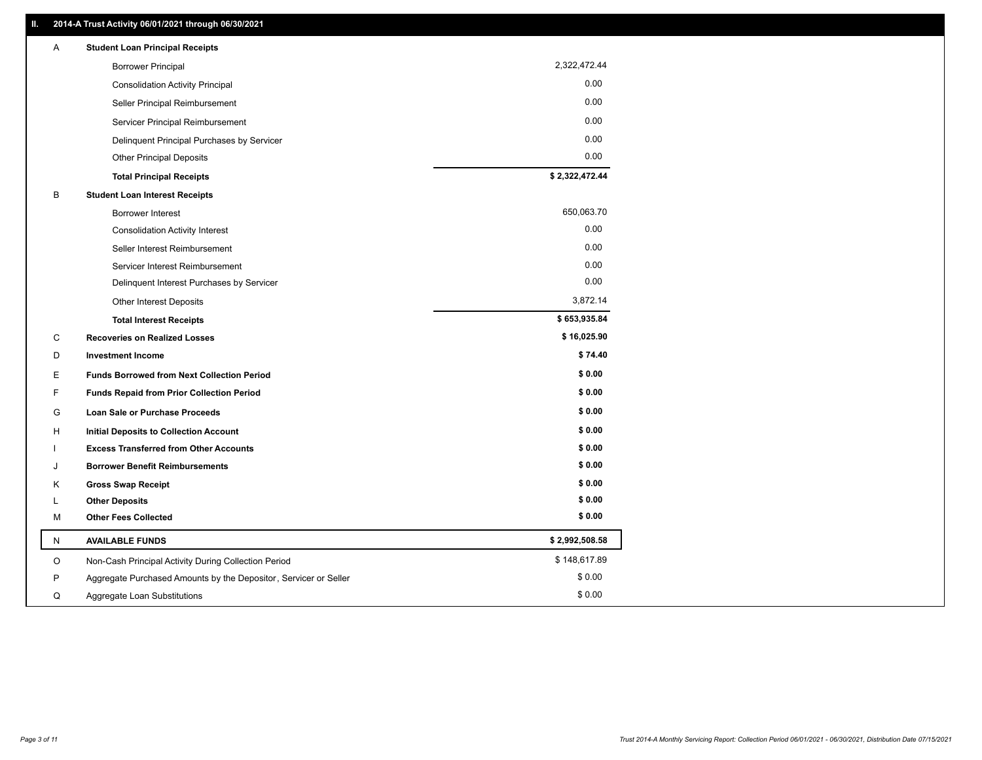| 2,322,472.44<br><b>Borrower Principal</b><br>0.00<br><b>Consolidation Activity Principal</b><br>0.00<br>Seller Principal Reimbursement<br>0.00<br>Servicer Principal Reimbursement<br>0.00<br>Delinquent Principal Purchases by Servicer<br>0.00<br><b>Other Principal Deposits</b><br>\$2,322,472.44<br><b>Total Principal Receipts</b><br>в<br><b>Student Loan Interest Receipts</b><br>650,063.70<br><b>Borrower Interest</b><br>0.00<br><b>Consolidation Activity Interest</b><br>0.00<br>Seller Interest Reimbursement<br>0.00<br>Servicer Interest Reimbursement<br>0.00<br>Delinquent Interest Purchases by Servicer<br>3,872.14<br><b>Other Interest Deposits</b><br>\$653,935.84<br><b>Total Interest Receipts</b><br>\$16,025.90<br>C<br><b>Recoveries on Realized Losses</b><br>\$74.40<br>D<br><b>Investment Income</b><br>\$0.00<br>E<br><b>Funds Borrowed from Next Collection Period</b><br>\$0.00<br>F<br><b>Funds Repaid from Prior Collection Period</b><br>\$0.00<br>G<br>Loan Sale or Purchase Proceeds<br>\$0.00<br><b>Initial Deposits to Collection Account</b><br>н<br>\$0.00<br><b>Excess Transferred from Other Accounts</b><br>\$0.00<br><b>Borrower Benefit Reimbursements</b><br>J<br>\$0.00<br><b>Gross Swap Receipt</b><br>Κ<br>\$0.00<br><b>Other Deposits</b><br>L<br>\$0.00<br><b>Other Fees Collected</b><br>м<br>\$2,992,508.58<br>N<br><b>AVAILABLE FUNDS</b><br>\$148,617.89<br>O<br>Non-Cash Principal Activity During Collection Period<br>\$0.00<br>P<br>Aggregate Purchased Amounts by the Depositor, Servicer or Seller<br>\$0.00<br>Q<br>Aggregate Loan Substitutions | Α | <b>Student Loan Principal Receipts</b> |  |
|-------------------------------------------------------------------------------------------------------------------------------------------------------------------------------------------------------------------------------------------------------------------------------------------------------------------------------------------------------------------------------------------------------------------------------------------------------------------------------------------------------------------------------------------------------------------------------------------------------------------------------------------------------------------------------------------------------------------------------------------------------------------------------------------------------------------------------------------------------------------------------------------------------------------------------------------------------------------------------------------------------------------------------------------------------------------------------------------------------------------------------------------------------------------------------------------------------------------------------------------------------------------------------------------------------------------------------------------------------------------------------------------------------------------------------------------------------------------------------------------------------------------------------------------------------------------------------------------------------------------|---|----------------------------------------|--|
|                                                                                                                                                                                                                                                                                                                                                                                                                                                                                                                                                                                                                                                                                                                                                                                                                                                                                                                                                                                                                                                                                                                                                                                                                                                                                                                                                                                                                                                                                                                                                                                                                   |   |                                        |  |
|                                                                                                                                                                                                                                                                                                                                                                                                                                                                                                                                                                                                                                                                                                                                                                                                                                                                                                                                                                                                                                                                                                                                                                                                                                                                                                                                                                                                                                                                                                                                                                                                                   |   |                                        |  |
|                                                                                                                                                                                                                                                                                                                                                                                                                                                                                                                                                                                                                                                                                                                                                                                                                                                                                                                                                                                                                                                                                                                                                                                                                                                                                                                                                                                                                                                                                                                                                                                                                   |   |                                        |  |
|                                                                                                                                                                                                                                                                                                                                                                                                                                                                                                                                                                                                                                                                                                                                                                                                                                                                                                                                                                                                                                                                                                                                                                                                                                                                                                                                                                                                                                                                                                                                                                                                                   |   |                                        |  |
|                                                                                                                                                                                                                                                                                                                                                                                                                                                                                                                                                                                                                                                                                                                                                                                                                                                                                                                                                                                                                                                                                                                                                                                                                                                                                                                                                                                                                                                                                                                                                                                                                   |   |                                        |  |
|                                                                                                                                                                                                                                                                                                                                                                                                                                                                                                                                                                                                                                                                                                                                                                                                                                                                                                                                                                                                                                                                                                                                                                                                                                                                                                                                                                                                                                                                                                                                                                                                                   |   |                                        |  |
|                                                                                                                                                                                                                                                                                                                                                                                                                                                                                                                                                                                                                                                                                                                                                                                                                                                                                                                                                                                                                                                                                                                                                                                                                                                                                                                                                                                                                                                                                                                                                                                                                   |   |                                        |  |
|                                                                                                                                                                                                                                                                                                                                                                                                                                                                                                                                                                                                                                                                                                                                                                                                                                                                                                                                                                                                                                                                                                                                                                                                                                                                                                                                                                                                                                                                                                                                                                                                                   |   |                                        |  |
|                                                                                                                                                                                                                                                                                                                                                                                                                                                                                                                                                                                                                                                                                                                                                                                                                                                                                                                                                                                                                                                                                                                                                                                                                                                                                                                                                                                                                                                                                                                                                                                                                   |   |                                        |  |
|                                                                                                                                                                                                                                                                                                                                                                                                                                                                                                                                                                                                                                                                                                                                                                                                                                                                                                                                                                                                                                                                                                                                                                                                                                                                                                                                                                                                                                                                                                                                                                                                                   |   |                                        |  |
|                                                                                                                                                                                                                                                                                                                                                                                                                                                                                                                                                                                                                                                                                                                                                                                                                                                                                                                                                                                                                                                                                                                                                                                                                                                                                                                                                                                                                                                                                                                                                                                                                   |   |                                        |  |
|                                                                                                                                                                                                                                                                                                                                                                                                                                                                                                                                                                                                                                                                                                                                                                                                                                                                                                                                                                                                                                                                                                                                                                                                                                                                                                                                                                                                                                                                                                                                                                                                                   |   |                                        |  |
|                                                                                                                                                                                                                                                                                                                                                                                                                                                                                                                                                                                                                                                                                                                                                                                                                                                                                                                                                                                                                                                                                                                                                                                                                                                                                                                                                                                                                                                                                                                                                                                                                   |   |                                        |  |
|                                                                                                                                                                                                                                                                                                                                                                                                                                                                                                                                                                                                                                                                                                                                                                                                                                                                                                                                                                                                                                                                                                                                                                                                                                                                                                                                                                                                                                                                                                                                                                                                                   |   |                                        |  |
|                                                                                                                                                                                                                                                                                                                                                                                                                                                                                                                                                                                                                                                                                                                                                                                                                                                                                                                                                                                                                                                                                                                                                                                                                                                                                                                                                                                                                                                                                                                                                                                                                   |   |                                        |  |
|                                                                                                                                                                                                                                                                                                                                                                                                                                                                                                                                                                                                                                                                                                                                                                                                                                                                                                                                                                                                                                                                                                                                                                                                                                                                                                                                                                                                                                                                                                                                                                                                                   |   |                                        |  |
|                                                                                                                                                                                                                                                                                                                                                                                                                                                                                                                                                                                                                                                                                                                                                                                                                                                                                                                                                                                                                                                                                                                                                                                                                                                                                                                                                                                                                                                                                                                                                                                                                   |   |                                        |  |
|                                                                                                                                                                                                                                                                                                                                                                                                                                                                                                                                                                                                                                                                                                                                                                                                                                                                                                                                                                                                                                                                                                                                                                                                                                                                                                                                                                                                                                                                                                                                                                                                                   |   |                                        |  |
|                                                                                                                                                                                                                                                                                                                                                                                                                                                                                                                                                                                                                                                                                                                                                                                                                                                                                                                                                                                                                                                                                                                                                                                                                                                                                                                                                                                                                                                                                                                                                                                                                   |   |                                        |  |
|                                                                                                                                                                                                                                                                                                                                                                                                                                                                                                                                                                                                                                                                                                                                                                                                                                                                                                                                                                                                                                                                                                                                                                                                                                                                                                                                                                                                                                                                                                                                                                                                                   |   |                                        |  |
|                                                                                                                                                                                                                                                                                                                                                                                                                                                                                                                                                                                                                                                                                                                                                                                                                                                                                                                                                                                                                                                                                                                                                                                                                                                                                                                                                                                                                                                                                                                                                                                                                   |   |                                        |  |
|                                                                                                                                                                                                                                                                                                                                                                                                                                                                                                                                                                                                                                                                                                                                                                                                                                                                                                                                                                                                                                                                                                                                                                                                                                                                                                                                                                                                                                                                                                                                                                                                                   |   |                                        |  |
|                                                                                                                                                                                                                                                                                                                                                                                                                                                                                                                                                                                                                                                                                                                                                                                                                                                                                                                                                                                                                                                                                                                                                                                                                                                                                                                                                                                                                                                                                                                                                                                                                   |   |                                        |  |
|                                                                                                                                                                                                                                                                                                                                                                                                                                                                                                                                                                                                                                                                                                                                                                                                                                                                                                                                                                                                                                                                                                                                                                                                                                                                                                                                                                                                                                                                                                                                                                                                                   |   |                                        |  |
|                                                                                                                                                                                                                                                                                                                                                                                                                                                                                                                                                                                                                                                                                                                                                                                                                                                                                                                                                                                                                                                                                                                                                                                                                                                                                                                                                                                                                                                                                                                                                                                                                   |   |                                        |  |
|                                                                                                                                                                                                                                                                                                                                                                                                                                                                                                                                                                                                                                                                                                                                                                                                                                                                                                                                                                                                                                                                                                                                                                                                                                                                                                                                                                                                                                                                                                                                                                                                                   |   |                                        |  |
|                                                                                                                                                                                                                                                                                                                                                                                                                                                                                                                                                                                                                                                                                                                                                                                                                                                                                                                                                                                                                                                                                                                                                                                                                                                                                                                                                                                                                                                                                                                                                                                                                   |   |                                        |  |
|                                                                                                                                                                                                                                                                                                                                                                                                                                                                                                                                                                                                                                                                                                                                                                                                                                                                                                                                                                                                                                                                                                                                                                                                                                                                                                                                                                                                                                                                                                                                                                                                                   |   |                                        |  |
|                                                                                                                                                                                                                                                                                                                                                                                                                                                                                                                                                                                                                                                                                                                                                                                                                                                                                                                                                                                                                                                                                                                                                                                                                                                                                                                                                                                                                                                                                                                                                                                                                   |   |                                        |  |
|                                                                                                                                                                                                                                                                                                                                                                                                                                                                                                                                                                                                                                                                                                                                                                                                                                                                                                                                                                                                                                                                                                                                                                                                                                                                                                                                                                                                                                                                                                                                                                                                                   |   |                                        |  |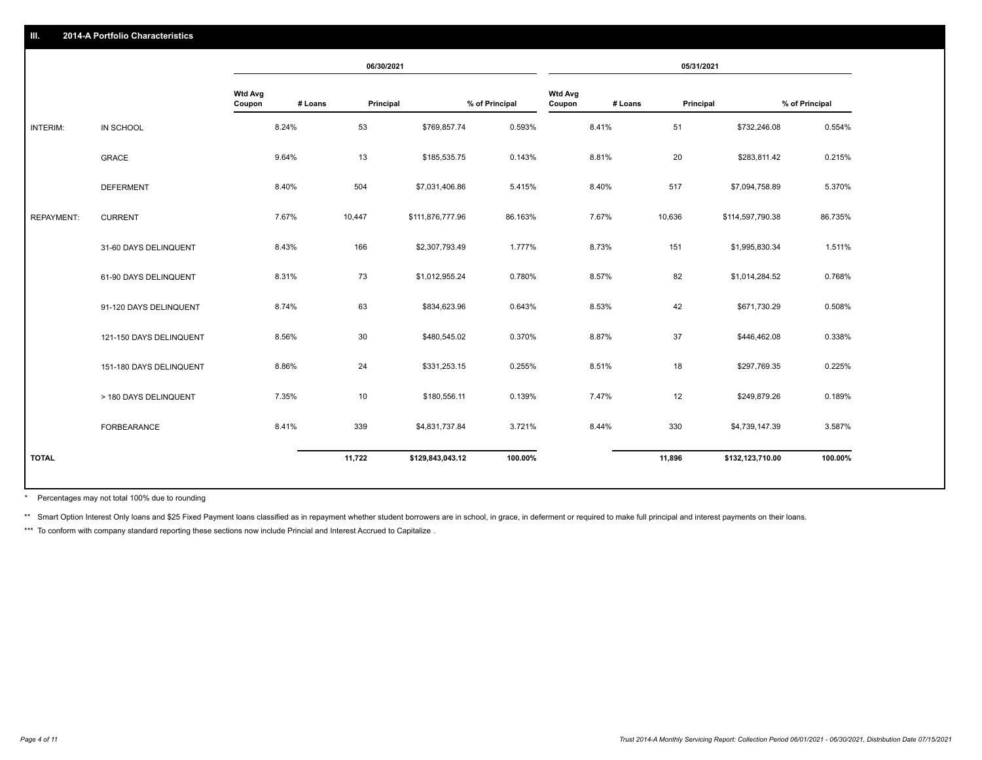|                   |                         |                          |         | 06/30/2021 |                  |                |                          |         | 05/31/2021 |                  |                |
|-------------------|-------------------------|--------------------------|---------|------------|------------------|----------------|--------------------------|---------|------------|------------------|----------------|
|                   |                         | <b>Wtd Avg</b><br>Coupon | # Loans | Principal  |                  | % of Principal | <b>Wtd Avg</b><br>Coupon | # Loans | Principal  |                  | % of Principal |
| INTERIM:          | IN SCHOOL               |                          | 8.24%   | 53         | \$769,857.74     | 0.593%         |                          | 8.41%   | 51         | \$732,246.08     | 0.554%         |
|                   | <b>GRACE</b>            |                          | 9.64%   | 13         | \$185,535.75     | 0.143%         |                          | 8.81%   | 20         | \$283,811.42     | 0.215%         |
|                   | <b>DEFERMENT</b>        |                          | 8.40%   | 504        | \$7,031,406.86   | 5.415%         |                          | 8.40%   | 517        | \$7,094,758.89   | 5.370%         |
| <b>REPAYMENT:</b> | <b>CURRENT</b>          |                          | 7.67%   | 10,447     | \$111,876,777.96 | 86.163%        |                          | 7.67%   | 10,636     | \$114,597,790.38 | 86.735%        |
|                   | 31-60 DAYS DELINQUENT   |                          | 8.43%   | 166        | \$2,307,793.49   | 1.777%         |                          | 8.73%   | 151        | \$1,995,830.34   | 1.511%         |
|                   | 61-90 DAYS DELINQUENT   |                          | 8.31%   | 73         | \$1,012,955.24   | 0.780%         |                          | 8.57%   | 82         | \$1,014,284.52   | 0.768%         |
|                   | 91-120 DAYS DELINQUENT  |                          | 8.74%   | 63         | \$834,623.96     | 0.643%         |                          | 8.53%   | 42         | \$671,730.29     | 0.508%         |
|                   | 121-150 DAYS DELINQUENT |                          | 8.56%   | 30         | \$480,545.02     | 0.370%         |                          | 8.87%   | 37         | \$446,462.08     | 0.338%         |
|                   | 151-180 DAYS DELINQUENT |                          | 8.86%   | 24         | \$331,253.15     | 0.255%         |                          | 8.51%   | 18         | \$297,769.35     | 0.225%         |
|                   | > 180 DAYS DELINQUENT   |                          | 7.35%   | 10         | \$180,556.11     | 0.139%         |                          | 7.47%   | 12         | \$249,879.26     | 0.189%         |
|                   | <b>FORBEARANCE</b>      |                          | 8.41%   | 339        | \$4,831,737.84   | 3.721%         |                          | 8.44%   | 330        | \$4,739,147.39   | 3.587%         |
| <b>TOTAL</b>      |                         |                          |         | 11,722     | \$129,843,043.12 | 100.00%        |                          |         | 11,896     | \$132,123,710.00 | 100.00%        |

Percentages may not total 100% due to rounding \*

\*\* Smart Option Interest Only loans and \$25 Fixed Payment loans classified as in repayment whether student borrowers are in school, in grace, in deferment or required to make full principal and interest payments on their l

\*\*\* To conform with company standard reporting these sections now include Princial and Interest Accrued to Capitalize .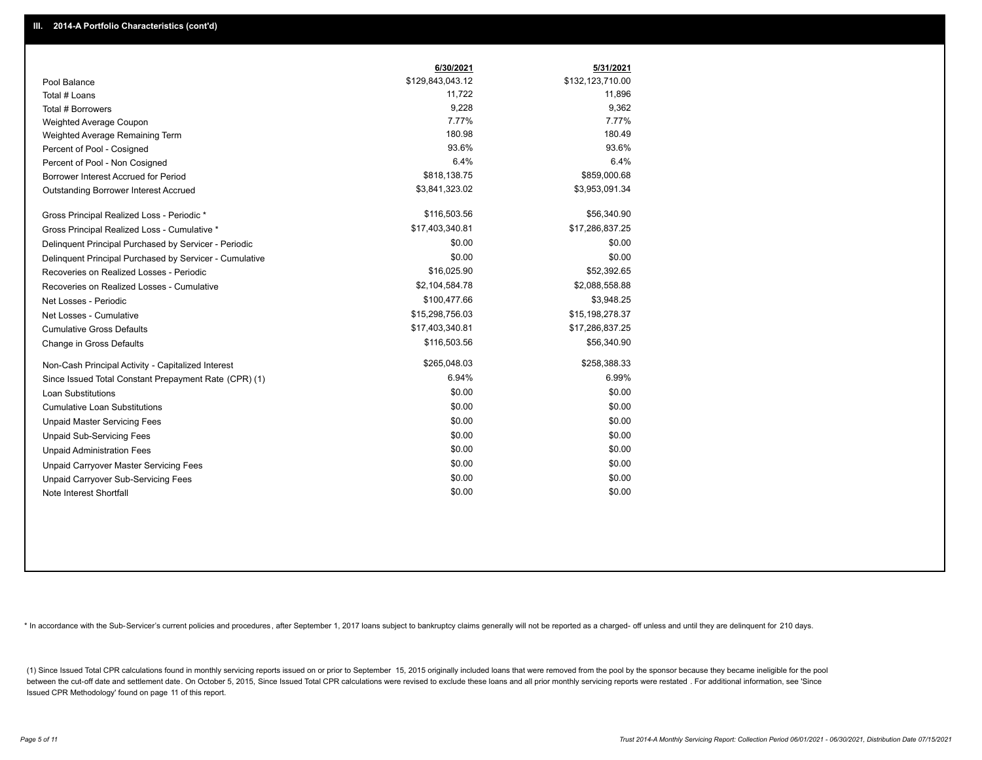|                                                         | 6/30/2021        | 5/31/2021        |
|---------------------------------------------------------|------------------|------------------|
| Pool Balance                                            | \$129,843,043.12 | \$132,123,710.00 |
| Total # Loans                                           | 11,722           | 11,896           |
| Total # Borrowers                                       | 9,228            | 9,362            |
| Weighted Average Coupon                                 | 7.77%            | 7.77%            |
| Weighted Average Remaining Term                         | 180.98           | 180.49           |
| Percent of Pool - Cosigned                              | 93.6%            | 93.6%            |
| Percent of Pool - Non Cosigned                          | 6.4%             | 6.4%             |
| Borrower Interest Accrued for Period                    | \$818,138.75     | \$859,000.68     |
| Outstanding Borrower Interest Accrued                   | \$3,841,323.02   | \$3,953,091.34   |
| Gross Principal Realized Loss - Periodic *              | \$116,503.56     | \$56,340.90      |
| Gross Principal Realized Loss - Cumulative *            | \$17,403,340.81  | \$17,286,837.25  |
| Delinquent Principal Purchased by Servicer - Periodic   | \$0.00           | \$0.00           |
| Delinquent Principal Purchased by Servicer - Cumulative | \$0.00           | \$0.00           |
| Recoveries on Realized Losses - Periodic                | \$16,025.90      | \$52,392.65      |
| Recoveries on Realized Losses - Cumulative              | \$2,104,584.78   | \$2,088,558.88   |
| Net Losses - Periodic                                   | \$100,477.66     | \$3,948.25       |
| Net Losses - Cumulative                                 | \$15,298,756.03  | \$15,198,278.37  |
| <b>Cumulative Gross Defaults</b>                        | \$17,403,340.81  | \$17,286,837.25  |
| Change in Gross Defaults                                | \$116,503.56     | \$56,340.90      |
| Non-Cash Principal Activity - Capitalized Interest      | \$265,048.03     | \$258,388.33     |
| Since Issued Total Constant Prepayment Rate (CPR) (1)   | 6.94%            | 6.99%            |
| <b>Loan Substitutions</b>                               | \$0.00           | \$0.00           |
| <b>Cumulative Loan Substitutions</b>                    | \$0.00           | \$0.00           |
| <b>Unpaid Master Servicing Fees</b>                     | \$0.00           | \$0.00           |
| <b>Unpaid Sub-Servicing Fees</b>                        | \$0.00           | \$0.00           |
| <b>Unpaid Administration Fees</b>                       | \$0.00           | \$0.00           |
| Unpaid Carryover Master Servicing Fees                  | \$0.00           | \$0.00           |
| Unpaid Carryover Sub-Servicing Fees                     | \$0.00           | \$0.00           |
| Note Interest Shortfall                                 | \$0.00           | \$0.00           |

\* In accordance with the Sub-Servicer's current policies and procedures, after September 1, 2017 loans subject to bankruptcy claims generally will not be reported as a charged- off unless and until they are delinquent for

(1) Since Issued Total CPR calculations found in monthly servicing reports issued on or prior to September 15, 2015 originally included loans that were removed from the pool by the sponsor because they became ineligible fo between the cut-off date and settlement date. On October 5, 2015, Since Issued Total CPR calculations were revised to exclude these loans and all prior monthly servicing reports were restated. For additional information, s Issued CPR Methodology' found on page 11 of this report.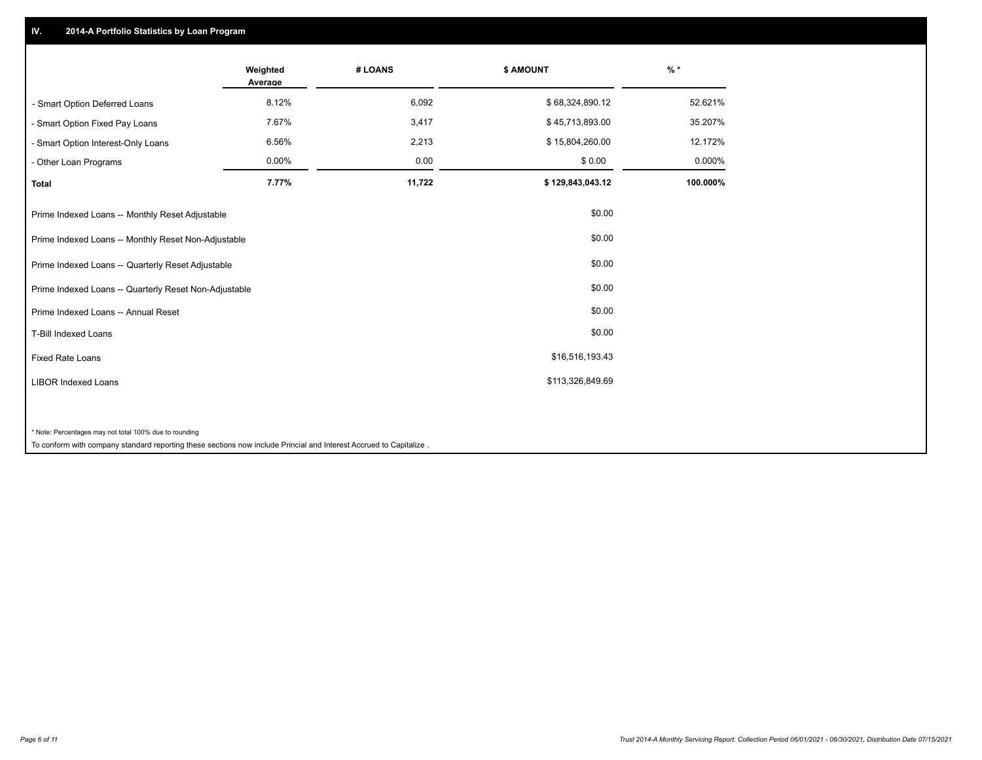## **IV. 2014-A Portfolio Statistics by Loan Program**

|                                                        | Weighted<br>Average | # LOANS | \$ AMOUNT        | $%$ *    |
|--------------------------------------------------------|---------------------|---------|------------------|----------|
| - Smart Option Deferred Loans                          | 8.12%               | 6,092   | \$68,324,890.12  | 52.621%  |
| - Smart Option Fixed Pay Loans                         | 7.67%               | 3,417   | \$45,713,893.00  | 35.207%  |
| - Smart Option Interest-Only Loans                     | 6.56%               | 2,213   | \$15,804,260.00  | 12.172%  |
| - Other Loan Programs                                  | 0.00%               | 0.00    | \$0.00           | 0.000%   |
| <b>Total</b>                                           | 7.77%               | 11,722  | \$129,843,043.12 | 100.000% |
| Prime Indexed Loans -- Monthly Reset Adjustable        |                     |         | \$0.00           |          |
| Prime Indexed Loans -- Monthly Reset Non-Adjustable    |                     |         | \$0.00           |          |
| Prime Indexed Loans -- Quarterly Reset Adjustable      |                     |         | \$0.00           |          |
| Prime Indexed Loans -- Quarterly Reset Non-Adjustable  |                     |         | \$0.00           |          |
| Prime Indexed Loans -- Annual Reset                    |                     |         | \$0.00           |          |
| T-Bill Indexed Loans                                   |                     |         | \$0.00           |          |
| <b>Fixed Rate Loans</b>                                |                     |         | \$16,516,193.43  |          |
| <b>LIBOR Indexed Loans</b>                             |                     |         | \$113,326,849.69 |          |
|                                                        |                     |         |                  |          |
| * Note: Percentages may not total 100% due to rounding |                     |         |                  |          |

To conform with company standard reporting these sections now include Princial and Interest Accrued to Capitalize .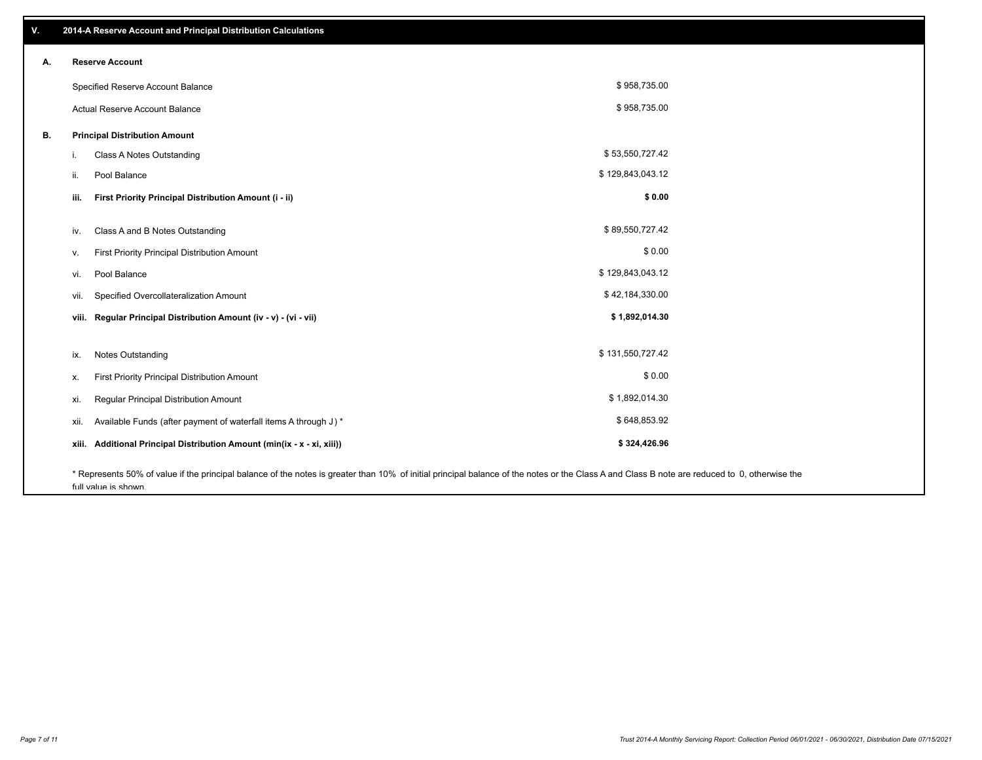| ٧. |       | 2014-A Reserve Account and Principal Distribution Calculations                                                                                                                                                        |                  |  |
|----|-------|-----------------------------------------------------------------------------------------------------------------------------------------------------------------------------------------------------------------------|------------------|--|
| А. |       | <b>Reserve Account</b>                                                                                                                                                                                                |                  |  |
|    |       | Specified Reserve Account Balance                                                                                                                                                                                     | \$958,735.00     |  |
|    |       | Actual Reserve Account Balance                                                                                                                                                                                        | \$958,735.00     |  |
| В. |       | <b>Principal Distribution Amount</b>                                                                                                                                                                                  |                  |  |
|    | i.    | Class A Notes Outstanding                                                                                                                                                                                             | \$53,550,727.42  |  |
|    | ii.   | Pool Balance                                                                                                                                                                                                          | \$129,843,043.12 |  |
|    | iii.  | First Priority Principal Distribution Amount (i - ii)                                                                                                                                                                 | \$0.00           |  |
|    |       |                                                                                                                                                                                                                       |                  |  |
|    | iv.   | Class A and B Notes Outstanding                                                                                                                                                                                       | \$89,550,727.42  |  |
|    | ν.    | First Priority Principal Distribution Amount                                                                                                                                                                          | \$0.00           |  |
|    | vi.   | Pool Balance                                                                                                                                                                                                          | \$129,843,043.12 |  |
|    | vii.  | Specified Overcollateralization Amount                                                                                                                                                                                | \$42,184,330.00  |  |
|    | viii. | Regular Principal Distribution Amount (iv - v) - (vi - vii)                                                                                                                                                           | \$1,892,014.30   |  |
|    |       |                                                                                                                                                                                                                       |                  |  |
|    | ix.   | <b>Notes Outstanding</b>                                                                                                                                                                                              | \$131,550,727.42 |  |
|    | х.    | First Priority Principal Distribution Amount                                                                                                                                                                          | \$0.00           |  |
|    | xi.   | Regular Principal Distribution Amount                                                                                                                                                                                 | \$1,892,014.30   |  |
|    | xii.  | Available Funds (after payment of waterfall items A through J) *                                                                                                                                                      | \$648,853.92     |  |
|    | xiii. | Additional Principal Distribution Amount (min(ix - x - xi, xiii))                                                                                                                                                     | \$324,426.96     |  |
|    |       | * Represents 50% of value if the principal balance of the notes is greater than 10% of initial principal balance of the notes or the Class A and Class B note are reduced to 0, otherwise the<br>full value is shown. |                  |  |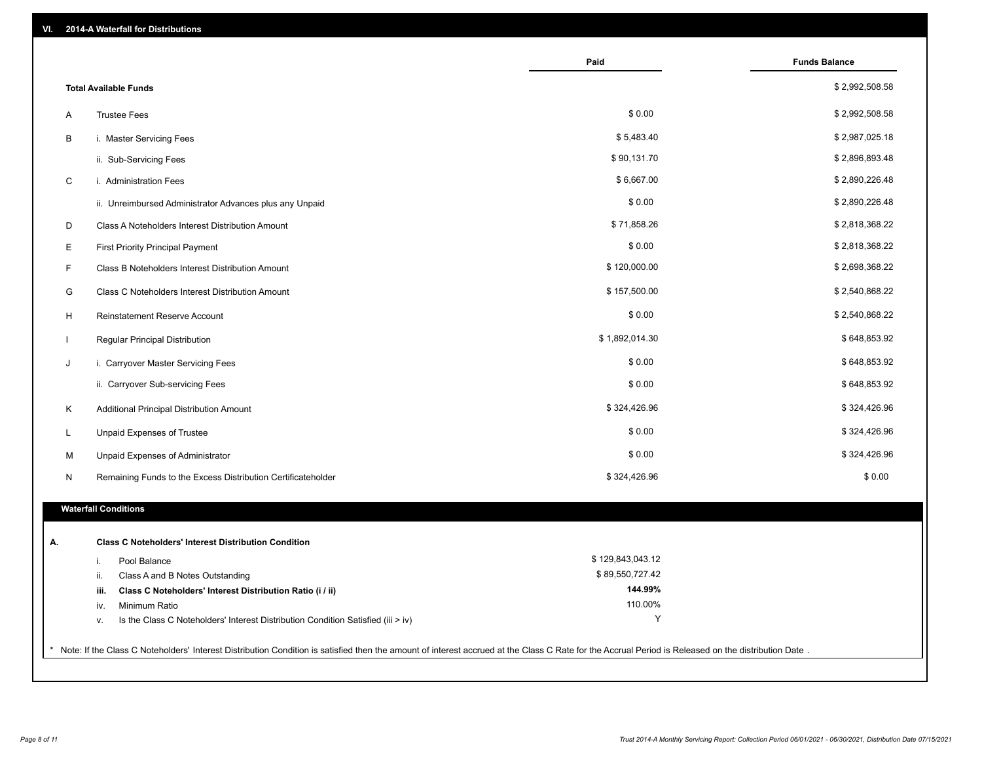| VI. | 2014-A Waterfall for Distributions                                                                                                                                                                    |                    |                      |
|-----|-------------------------------------------------------------------------------------------------------------------------------------------------------------------------------------------------------|--------------------|----------------------|
|     |                                                                                                                                                                                                       | Paid               | <b>Funds Balance</b> |
|     | <b>Total Available Funds</b>                                                                                                                                                                          |                    | \$2,992,508.58       |
| A   | <b>Trustee Fees</b>                                                                                                                                                                                   | \$0.00             | \$2,992,508.58       |
| В   | i. Master Servicing Fees                                                                                                                                                                              | \$5,483.40         | \$2,987,025.18       |
|     | ii. Sub-Servicing Fees                                                                                                                                                                                | \$90,131.70        | \$2,896,893.48       |
| C   | i. Administration Fees                                                                                                                                                                                | \$6,667.00         | \$2,890,226.48       |
|     | ii. Unreimbursed Administrator Advances plus any Unpaid                                                                                                                                               | \$0.00             | \$2,890,226.48       |
| D   | Class A Noteholders Interest Distribution Amount                                                                                                                                                      | \$71,858.26        | \$2,818,368.22       |
| E   | <b>First Priority Principal Payment</b>                                                                                                                                                               | \$0.00             | \$2,818,368.22       |
| F   | Class B Noteholders Interest Distribution Amount                                                                                                                                                      | \$120,000.00       | \$2,698,368.22       |
| G   | Class C Noteholders Interest Distribution Amount                                                                                                                                                      | \$157,500.00       | \$2,540,868.22       |
| H   | Reinstatement Reserve Account                                                                                                                                                                         | \$0.00             | \$2,540,868.22       |
|     | Regular Principal Distribution                                                                                                                                                                        | \$1,892,014.30     | \$648,853.92         |
| J   | i. Carryover Master Servicing Fees                                                                                                                                                                    | \$0.00             | \$648,853.92         |
|     | ii. Carryover Sub-servicing Fees                                                                                                                                                                      | \$0.00             | \$648,853.92         |
| Κ   | Additional Principal Distribution Amount                                                                                                                                                              | \$324,426.96       | \$324,426.96         |
| L   | Unpaid Expenses of Trustee                                                                                                                                                                            | \$0.00             | \$324,426.96         |
| М   | Unpaid Expenses of Administrator                                                                                                                                                                      | \$0.00             | \$324,426.96         |
| N   | Remaining Funds to the Excess Distribution Certificateholder                                                                                                                                          | \$324,426.96       | \$0.00               |
|     | <b>Waterfall Conditions</b>                                                                                                                                                                           |                    |                      |
|     |                                                                                                                                                                                                       |                    |                      |
| А.  | <b>Class C Noteholders' Interest Distribution Condition</b>                                                                                                                                           |                    |                      |
|     | Pool Balance<br>i.                                                                                                                                                                                    | \$129,843,043.12   |                      |
|     | Class A and B Notes Outstanding<br>ii.                                                                                                                                                                | \$89,550,727.42    |                      |
|     | Class C Noteholders' Interest Distribution Ratio (i / ii)<br>iii.                                                                                                                                     | 144.99%<br>110.00% |                      |
|     | Minimum Ratio<br>iv.                                                                                                                                                                                  | Υ                  |                      |
|     | Is the Class C Noteholders' Interest Distribution Condition Satisfied (iii > iv)<br>v.                                                                                                                |                    |                      |
|     | * Note: If the Class C Noteholders' Interest Distribution Condition is satisfied then the amount of interest accrued at the Class C Rate for the Accrual Period is Released on the distribution Date. |                    |                      |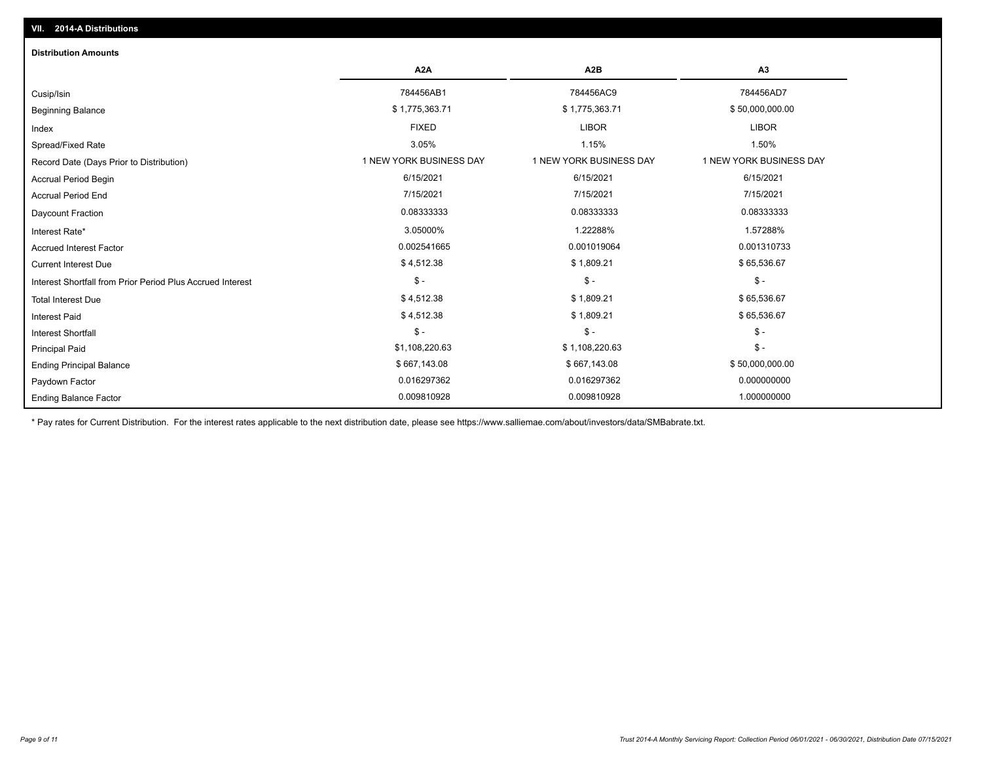| <b>Distribution Amounts</b>                                |                         |                         |                         |
|------------------------------------------------------------|-------------------------|-------------------------|-------------------------|
|                                                            | A <sub>2</sub> A        | A2B                     | A3                      |
| Cusip/Isin                                                 | 784456AB1               | 784456AC9               | 784456AD7               |
| <b>Beginning Balance</b>                                   | \$1,775,363.71          | \$1,775,363.71          | \$50,000,000.00         |
| Index                                                      | <b>FIXED</b>            | <b>LIBOR</b>            | <b>LIBOR</b>            |
| Spread/Fixed Rate                                          | 3.05%                   | 1.15%                   | 1.50%                   |
| Record Date (Days Prior to Distribution)                   | 1 NEW YORK BUSINESS DAY | 1 NEW YORK BUSINESS DAY | 1 NEW YORK BUSINESS DAY |
| <b>Accrual Period Begin</b>                                | 6/15/2021               | 6/15/2021               | 6/15/2021               |
| <b>Accrual Period End</b>                                  | 7/15/2021               | 7/15/2021               | 7/15/2021               |
| <b>Daycount Fraction</b>                                   | 0.08333333              | 0.08333333              | 0.08333333              |
| Interest Rate*                                             | 3.05000%                | 1.22288%                | 1.57288%                |
| <b>Accrued Interest Factor</b>                             | 0.002541665             | 0.001019064             | 0.001310733             |
| <b>Current Interest Due</b>                                | \$4,512.38              | \$1,809.21              | \$65,536.67             |
| Interest Shortfall from Prior Period Plus Accrued Interest | $\mathsf{\$}$ -         | $$ -$                   | $\mathsf{\$}$ -         |
| <b>Total Interest Due</b>                                  | \$4,512.38              | \$1,809.21              | \$65,536.67             |
| Interest Paid                                              | \$4,512.38              | \$1,809.21              | \$65,536.67             |
| <b>Interest Shortfall</b>                                  | $\frac{1}{2}$           | $$ -$                   | $$ -$                   |
| <b>Principal Paid</b>                                      | \$1,108,220.63          | \$1,108,220.63          | $$ -$                   |
| <b>Ending Principal Balance</b>                            | \$667,143.08            | \$667,143.08            | \$50,000,000.00         |
| Paydown Factor                                             | 0.016297362             | 0.016297362             | 0.000000000             |
| <b>Ending Balance Factor</b>                               | 0.009810928             | 0.009810928             | 1.000000000             |

\* Pay rates for Current Distribution. For the interest rates applicable to the next distribution date, please see https://www.salliemae.com/about/investors/data/SMBabrate.txt.

**VII. 2014-A Distributions**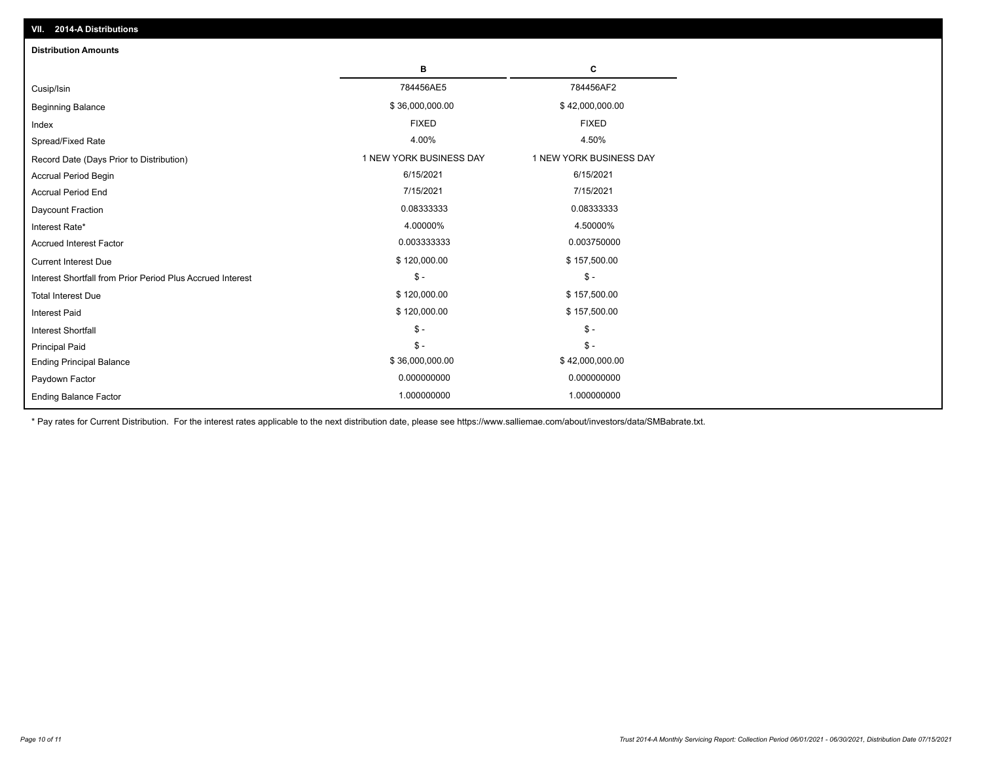| <b>Distribution Amounts</b>                                |                         |                         |
|------------------------------------------------------------|-------------------------|-------------------------|
|                                                            | в                       | C                       |
| Cusip/Isin                                                 | 784456AE5               | 784456AF2               |
| <b>Beginning Balance</b>                                   | \$36,000,000.00         | \$42,000,000.00         |
| Index                                                      | <b>FIXED</b>            | <b>FIXED</b>            |
| Spread/Fixed Rate                                          | 4.00%                   | 4.50%                   |
| Record Date (Days Prior to Distribution)                   | 1 NEW YORK BUSINESS DAY | 1 NEW YORK BUSINESS DAY |
| <b>Accrual Period Begin</b>                                | 6/15/2021               | 6/15/2021               |
| <b>Accrual Period End</b>                                  | 7/15/2021               | 7/15/2021               |
| Daycount Fraction                                          | 0.08333333              | 0.08333333              |
| Interest Rate*                                             | 4.00000%                | 4.50000%                |
| <b>Accrued Interest Factor</b>                             | 0.003333333             | 0.003750000             |
| <b>Current Interest Due</b>                                | \$120,000.00            | \$157,500.00            |
| Interest Shortfall from Prior Period Plus Accrued Interest | $\mathsf{\$}$ -         | $\mathsf{\$}$ -         |
| <b>Total Interest Due</b>                                  | \$120,000.00            | \$157,500.00            |
| <b>Interest Paid</b>                                       | \$120,000.00            | \$157,500.00            |
| Interest Shortfall                                         | $\frac{1}{2}$           | $$ -$                   |
| <b>Principal Paid</b>                                      | $\mathsf{\$}$ -         | $$ -$                   |
| <b>Ending Principal Balance</b>                            | \$36,000,000.00         | \$42,000,000.00         |
| Paydown Factor                                             | 0.000000000             | 0.000000000             |
| <b>Ending Balance Factor</b>                               | 1.000000000             | 1.000000000             |

\* Pay rates for Current Distribution. For the interest rates applicable to the next distribution date, please see https://www.salliemae.com/about/investors/data/SMBabrate.txt.

**VII. 2014-A Distributions**